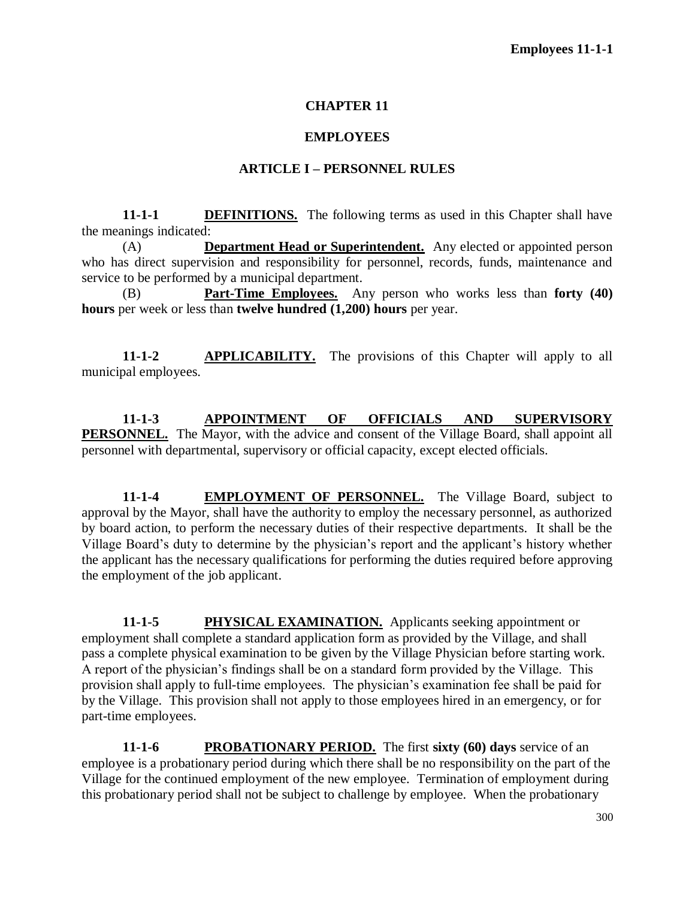#### **CHAPTER 11**

#### **EMPLOYEES**

#### **ARTICLE I – PERSONNEL RULES**

**11-1-1 DEFINITIONS.** The following terms as used in this Chapter shall have the meanings indicated:

(A) **Department Head or Superintendent.** Any elected or appointed person who has direct supervision and responsibility for personnel, records, funds, maintenance and service to be performed by a municipal department.

(B) **Part-Time Employees.** Any person who works less than **forty (40) hours** per week or less than **twelve hundred (1,200) hours** per year.

**11-1-2 APPLICABILITY.** The provisions of this Chapter will apply to all municipal employees.

**11-1-3 APPOINTMENT OF OFFICIALS AND SUPERVISORY PERSONNEL.** The Mayor, with the advice and consent of the Village Board, shall appoint all personnel with departmental, supervisory or official capacity, except elected officials.

11-1-4 **EMPLOYMENT OF PERSONNEL.** The Village Board, subject to approval by the Mayor, shall have the authority to employ the necessary personnel, as authorized by board action, to perform the necessary duties of their respective departments. It shall be the Village Board's duty to determine by the physician's report and the applicant's history whether the applicant has the necessary qualifications for performing the duties required before approving the employment of the job applicant.

**11-1-5 PHYSICAL EXAMINATION.** Applicants seeking appointment or employment shall complete a standard application form as provided by the Village, and shall pass a complete physical examination to be given by the Village Physician before starting work. A report of the physician's findings shall be on a standard form provided by the Village. This provision shall apply to full-time employees. The physician's examination fee shall be paid for by the Village. This provision shall not apply to those employees hired in an emergency, or for part-time employees.

**11-1-6 PROBATIONARY PERIOD.** The first **sixty (60) days** service of an employee is a probationary period during which there shall be no responsibility on the part of the Village for the continued employment of the new employee. Termination of employment during this probationary period shall not be subject to challenge by employee. When the probationary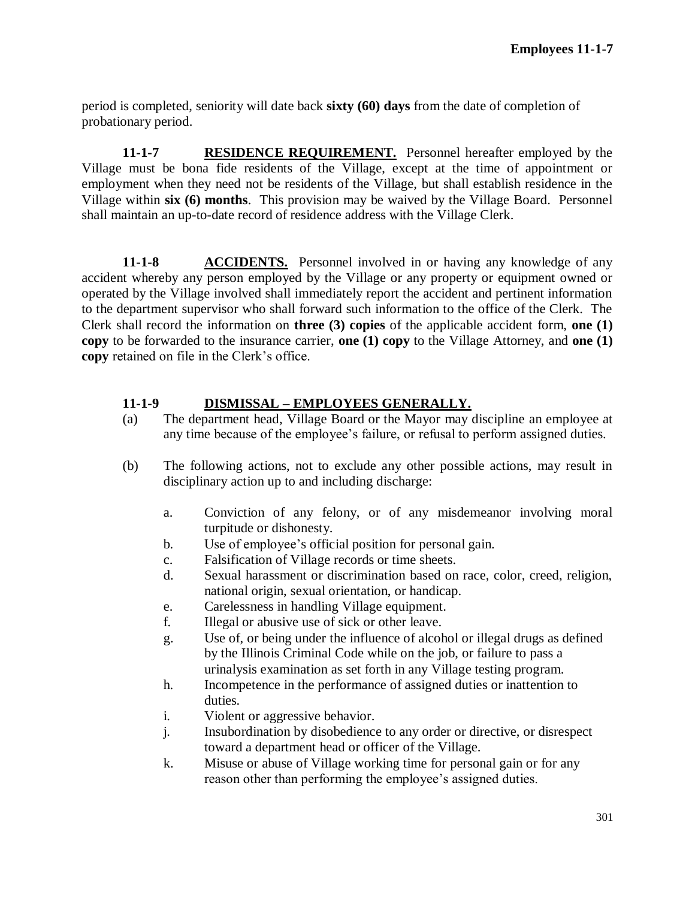period is completed, seniority will date back **sixty (60) days** from the date of completion of probationary period.

**11-1-7 RESIDENCE REQUIREMENT.** Personnel hereafter employed by the Village must be bona fide residents of the Village, except at the time of appointment or employment when they need not be residents of the Village, but shall establish residence in the Village within **six (6) months**. This provision may be waived by the Village Board. Personnel shall maintain an up-to-date record of residence address with the Village Clerk.

**11-1-8 ACCIDENTS.** Personnel involved in or having any knowledge of any accident whereby any person employed by the Village or any property or equipment owned or operated by the Village involved shall immediately report the accident and pertinent information to the department supervisor who shall forward such information to the office of the Clerk. The Clerk shall record the information on **three (3) copies** of the applicable accident form, **one (1) copy** to be forwarded to the insurance carrier, **one (1) copy** to the Village Attorney, and **one (1) copy** retained on file in the Clerk's office.

## **11-1-9 DISMISSAL – EMPLOYEES GENERALLY.**

- (a) The department head, Village Board or the Mayor may discipline an employee at any time because of the employee's failure, or refusal to perform assigned duties.
- (b) The following actions, not to exclude any other possible actions, may result in disciplinary action up to and including discharge:
	- a. Conviction of any felony, or of any misdemeanor involving moral turpitude or dishonesty.
	- b. Use of employee's official position for personal gain.
	- c. Falsification of Village records or time sheets.
	- d. Sexual harassment or discrimination based on race, color, creed, religion, national origin, sexual orientation, or handicap.
	- e. Carelessness in handling Village equipment.
	- f. Illegal or abusive use of sick or other leave.
	- g. Use of, or being under the influence of alcohol or illegal drugs as defined by the Illinois Criminal Code while on the job, or failure to pass a urinalysis examination as set forth in any Village testing program.
	- h. Incompetence in the performance of assigned duties or inattention to duties.
	- i. Violent or aggressive behavior.
	- j. Insubordination by disobedience to any order or directive, or disrespect toward a department head or officer of the Village.
	- k. Misuse or abuse of Village working time for personal gain or for any reason other than performing the employee's assigned duties.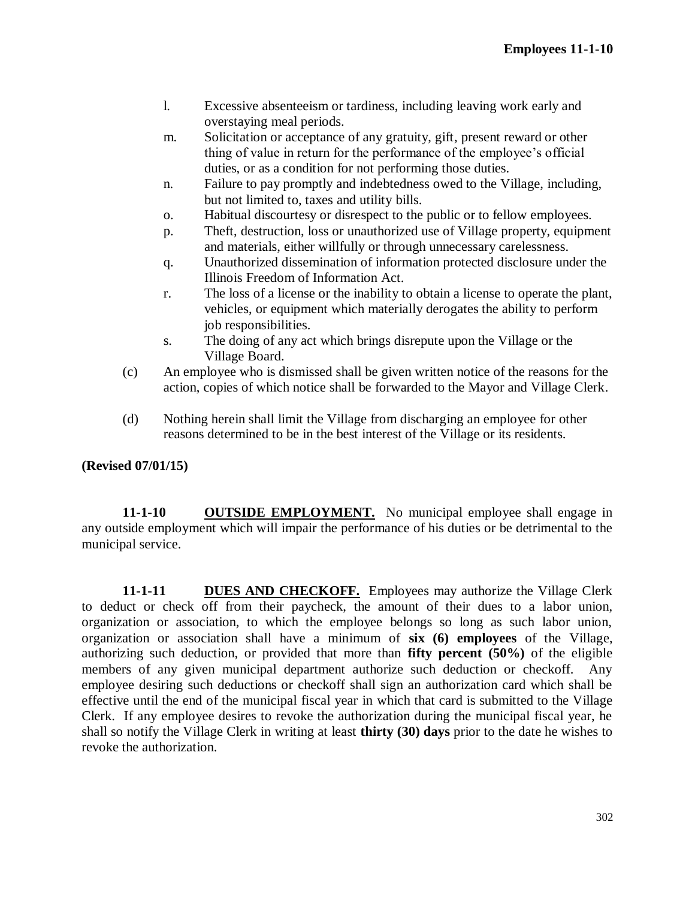- l. Excessive absenteeism or tardiness, including leaving work early and overstaying meal periods.
- m. Solicitation or acceptance of any gratuity, gift, present reward or other thing of value in return for the performance of the employee's official duties, or as a condition for not performing those duties.
- n. Failure to pay promptly and indebtedness owed to the Village, including, but not limited to, taxes and utility bills.
- o. Habitual discourtesy or disrespect to the public or to fellow employees.
- p. Theft, destruction, loss or unauthorized use of Village property, equipment and materials, either willfully or through unnecessary carelessness.
- q. Unauthorized dissemination of information protected disclosure under the Illinois Freedom of Information Act.
- r. The loss of a license or the inability to obtain a license to operate the plant, vehicles, or equipment which materially derogates the ability to perform job responsibilities.
- s. The doing of any act which brings disrepute upon the Village or the Village Board.
- (c) An employee who is dismissed shall be given written notice of the reasons for the action, copies of which notice shall be forwarded to the Mayor and Village Clerk.
- (d) Nothing herein shall limit the Village from discharging an employee for other reasons determined to be in the best interest of the Village or its residents.

**(Revised 07/01/15)**

**11-1-10 OUTSIDE EMPLOYMENT.** No municipal employee shall engage in any outside employment which will impair the performance of his duties or be detrimental to the municipal service.

**11-1-11 DUES AND CHECKOFF.** Employees may authorize the Village Clerk to deduct or check off from their paycheck, the amount of their dues to a labor union, organization or association, to which the employee belongs so long as such labor union, organization or association shall have a minimum of **six (6) employees** of the Village, authorizing such deduction, or provided that more than **fifty percent (50%)** of the eligible members of any given municipal department authorize such deduction or checkoff. Any employee desiring such deductions or checkoff shall sign an authorization card which shall be effective until the end of the municipal fiscal year in which that card is submitted to the Village Clerk. If any employee desires to revoke the authorization during the municipal fiscal year, he shall so notify the Village Clerk in writing at least **thirty (30) days** prior to the date he wishes to revoke the authorization.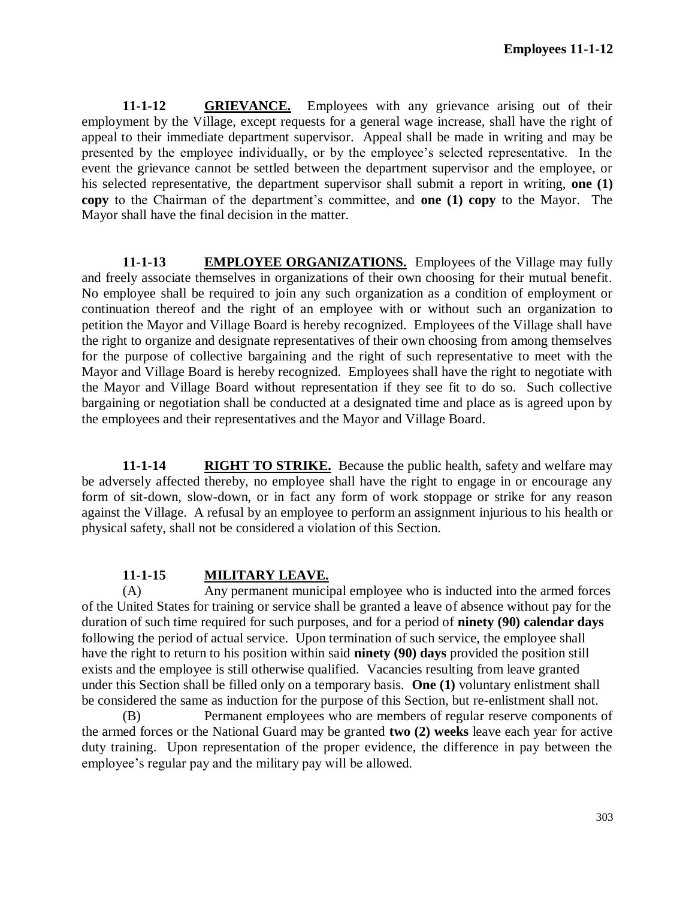**11-1-12 GRIEVANCE.** Employees with any grievance arising out of their employment by the Village, except requests for a general wage increase, shall have the right of appeal to their immediate department supervisor. Appeal shall be made in writing and may be presented by the employee individually, or by the employee's selected representative. In the event the grievance cannot be settled between the department supervisor and the employee, or his selected representative, the department supervisor shall submit a report in writing, **one (1) copy** to the Chairman of the department's committee, and **one (1) copy** to the Mayor. The Mayor shall have the final decision in the matter.

**11-1-13 EMPLOYEE ORGANIZATIONS.** Employees of the Village may fully and freely associate themselves in organizations of their own choosing for their mutual benefit. No employee shall be required to join any such organization as a condition of employment or continuation thereof and the right of an employee with or without such an organization to petition the Mayor and Village Board is hereby recognized. Employees of the Village shall have the right to organize and designate representatives of their own choosing from among themselves for the purpose of collective bargaining and the right of such representative to meet with the Mayor and Village Board is hereby recognized. Employees shall have the right to negotiate with the Mayor and Village Board without representation if they see fit to do so. Such collective bargaining or negotiation shall be conducted at a designated time and place as is agreed upon by the employees and their representatives and the Mayor and Village Board.

**11-1-14 RIGHT TO STRIKE.** Because the public health, safety and welfare may be adversely affected thereby, no employee shall have the right to engage in or encourage any form of sit-down, slow-down, or in fact any form of work stoppage or strike for any reason against the Village. A refusal by an employee to perform an assignment injurious to his health or physical safety, shall not be considered a violation of this Section.

## **11-1-15 MILITARY LEAVE.**

(A) Any permanent municipal employee who is inducted into the armed forces of the United States for training or service shall be granted a leave of absence without pay for the duration of such time required for such purposes, and for a period of **ninety (90) calendar days** following the period of actual service. Upon termination of such service, the employee shall have the right to return to his position within said **ninety (90) days** provided the position still exists and the employee is still otherwise qualified. Vacancies resulting from leave granted under this Section shall be filled only on a temporary basis. **One (1)** voluntary enlistment shall be considered the same as induction for the purpose of this Section, but re-enlistment shall not.

(B) Permanent employees who are members of regular reserve components of the armed forces or the National Guard may be granted **two (2) weeks** leave each year for active duty training. Upon representation of the proper evidence, the difference in pay between the employee's regular pay and the military pay will be allowed.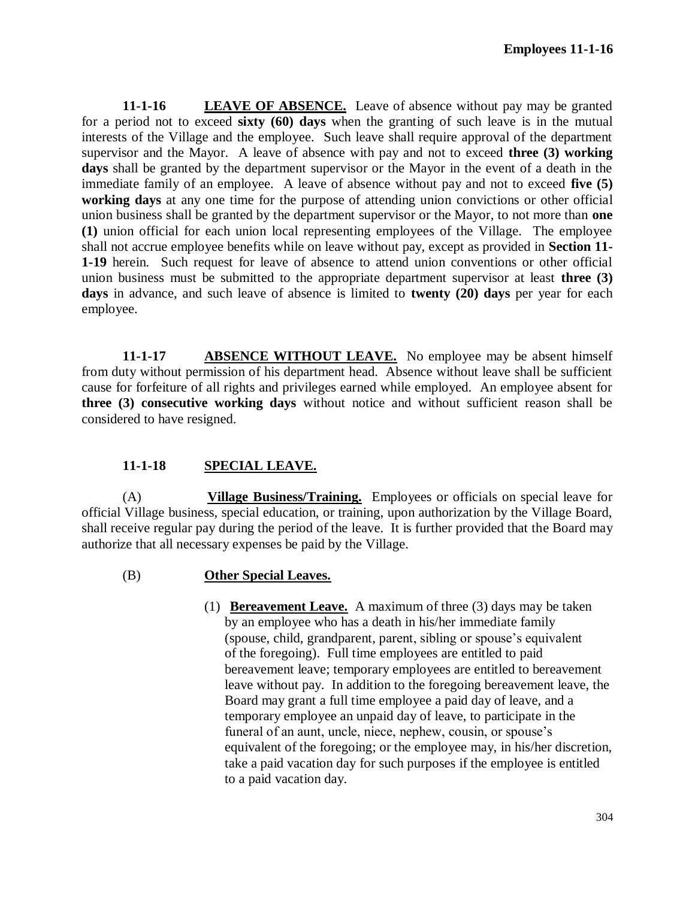**11-1-16 LEAVE OF ABSENCE.** Leave of absence without pay may be granted for a period not to exceed **sixty (60) days** when the granting of such leave is in the mutual interests of the Village and the employee. Such leave shall require approval of the department supervisor and the Mayor. A leave of absence with pay and not to exceed **three (3) working days** shall be granted by the department supervisor or the Mayor in the event of a death in the immediate family of an employee. A leave of absence without pay and not to exceed **five (5) working days** at any one time for the purpose of attending union convictions or other official union business shall be granted by the department supervisor or the Mayor, to not more than **one (1)** union official for each union local representing employees of the Village. The employee shall not accrue employee benefits while on leave without pay, except as provided in **Section 11- 1-19** herein. Such request for leave of absence to attend union conventions or other official union business must be submitted to the appropriate department supervisor at least **three (3) days** in advance, and such leave of absence is limited to **twenty (20) days** per year for each employee.

**11-1-17 ABSENCE WITHOUT LEAVE.** No employee may be absent himself from duty without permission of his department head. Absence without leave shall be sufficient cause for forfeiture of all rights and privileges earned while employed. An employee absent for **three (3) consecutive working days** without notice and without sufficient reason shall be considered to have resigned.

## **11-1-18 SPECIAL LEAVE.**

(A) **Village Business/Training.** Employees or officials on special leave for official Village business, special education, or training, upon authorization by the Village Board, shall receive regular pay during the period of the leave. It is further provided that the Board may authorize that all necessary expenses be paid by the Village.

#### (B) **Other Special Leaves.**

(1) **Bereavement Leave.** A maximum of three (3) days may be taken by an employee who has a death in his/her immediate family (spouse, child, grandparent, parent, sibling or spouse's equivalent of the foregoing). Full time employees are entitled to paid bereavement leave; temporary employees are entitled to bereavement leave without pay. In addition to the foregoing bereavement leave, the Board may grant a full time employee a paid day of leave, and a temporary employee an unpaid day of leave, to participate in the funeral of an aunt, uncle, niece, nephew, cousin, or spouse's equivalent of the foregoing; or the employee may, in his/her discretion, take a paid vacation day for such purposes if the employee is entitled to a paid vacation day.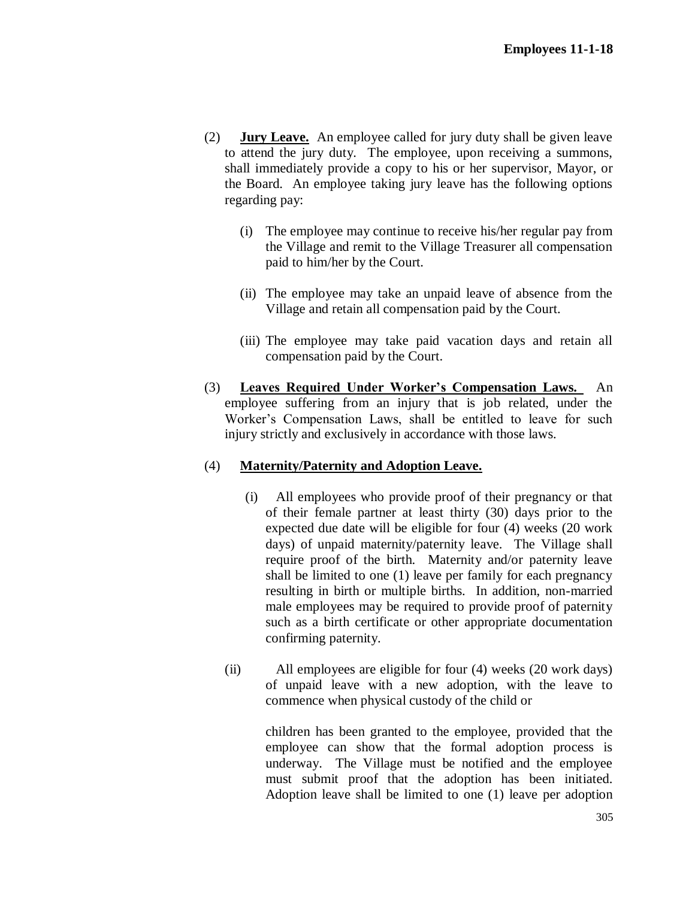- (2) **Jury Leave.** An employee called for jury duty shall be given leave to attend the jury duty. The employee, upon receiving a summons, shall immediately provide a copy to his or her supervisor, Mayor, or the Board. An employee taking jury leave has the following options regarding pay:
	- (i) The employee may continue to receive his/her regular pay from the Village and remit to the Village Treasurer all compensation paid to him/her by the Court.
	- (ii) The employee may take an unpaid leave of absence from the Village and retain all compensation paid by the Court.
	- (iii) The employee may take paid vacation days and retain all compensation paid by the Court.
- (3) **Leaves Required Under Worker's Compensation Laws.** An employee suffering from an injury that is job related, under the Worker's Compensation Laws, shall be entitled to leave for such injury strictly and exclusively in accordance with those laws.

## (4) **Maternity/Paternity and Adoption Leave.**

- (i) All employees who provide proof of their pregnancy or that of their female partner at least thirty (30) days prior to the expected due date will be eligible for four (4) weeks (20 work days) of unpaid maternity/paternity leave. The Village shall require proof of the birth. Maternity and/or paternity leave shall be limited to one (1) leave per family for each pregnancy resulting in birth or multiple births. In addition, non-married male employees may be required to provide proof of paternity such as a birth certificate or other appropriate documentation confirming paternity.
- (ii) All employees are eligible for four (4) weeks (20 work days) of unpaid leave with a new adoption, with the leave to commence when physical custody of the child or

children has been granted to the employee, provided that the employee can show that the formal adoption process is underway. The Village must be notified and the employee must submit proof that the adoption has been initiated. Adoption leave shall be limited to one (1) leave per adoption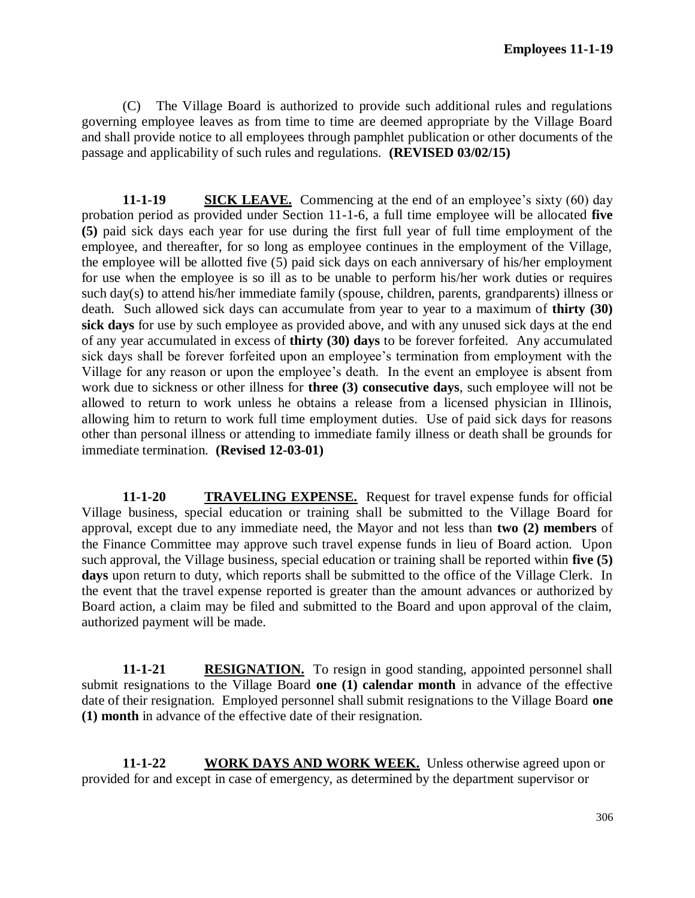(C) The Village Board is authorized to provide such additional rules and regulations governing employee leaves as from time to time are deemed appropriate by the Village Board and shall provide notice to all employees through pamphlet publication or other documents of the passage and applicability of such rules and regulations. **(REVISED 03/02/15)**

**11-1-19 SICK LEAVE.** Commencing at the end of an employee's sixty (60) day probation period as provided under Section 11-1-6, a full time employee will be allocated **five (5)** paid sick days each year for use during the first full year of full time employment of the employee, and thereafter, for so long as employee continues in the employment of the Village, the employee will be allotted five (5) paid sick days on each anniversary of his/her employment for use when the employee is so ill as to be unable to perform his/her work duties or requires such day(s) to attend his/her immediate family (spouse, children, parents, grandparents) illness or death. Such allowed sick days can accumulate from year to year to a maximum of **thirty (30) sick days** for use by such employee as provided above, and with any unused sick days at the end of any year accumulated in excess of **thirty (30) days** to be forever forfeited. Any accumulated sick days shall be forever forfeited upon an employee's termination from employment with the Village for any reason or upon the employee's death. In the event an employee is absent from work due to sickness or other illness for **three (3) consecutive days**, such employee will not be allowed to return to work unless he obtains a release from a licensed physician in Illinois, allowing him to return to work full time employment duties. Use of paid sick days for reasons other than personal illness or attending to immediate family illness or death shall be grounds for immediate termination. **(Revised 12-03-01)**

**11-1-20 TRAVELING EXPENSE.** Request for travel expense funds for official Village business, special education or training shall be submitted to the Village Board for approval, except due to any immediate need, the Mayor and not less than **two (2) members** of the Finance Committee may approve such travel expense funds in lieu of Board action. Upon such approval, the Village business, special education or training shall be reported within **five (5) days** upon return to duty, which reports shall be submitted to the office of the Village Clerk. In the event that the travel expense reported is greater than the amount advances or authorized by Board action, a claim may be filed and submitted to the Board and upon approval of the claim, authorized payment will be made.

**11-1-21 RESIGNATION.** To resign in good standing, appointed personnel shall submit resignations to the Village Board **one (1) calendar month** in advance of the effective date of their resignation. Employed personnel shall submit resignations to the Village Board **one (1) month** in advance of the effective date of their resignation.

**11-1-22 WORK DAYS AND WORK WEEK.** Unless otherwise agreed upon or provided for and except in case of emergency, as determined by the department supervisor or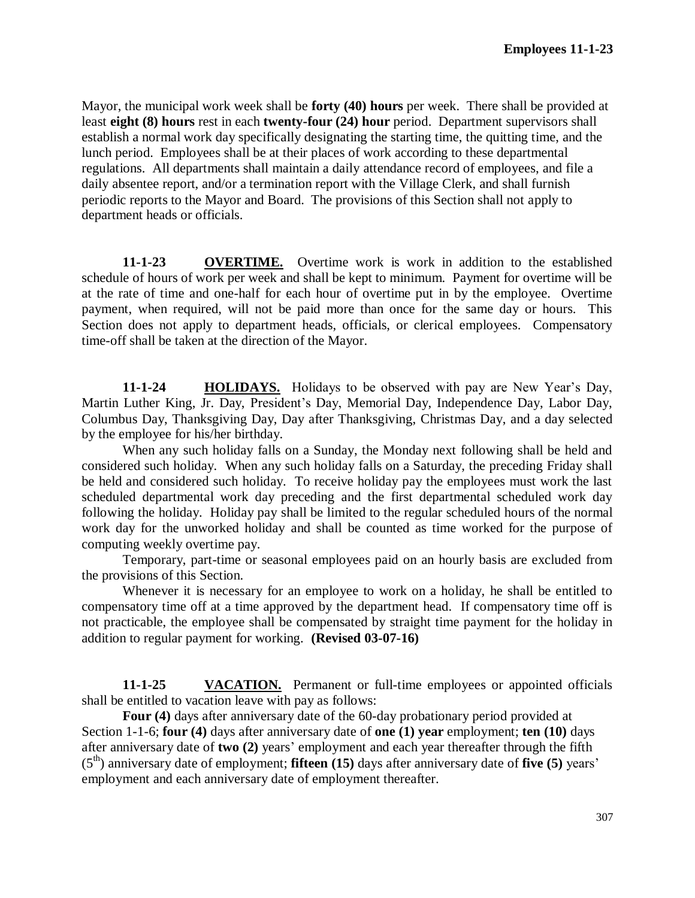Mayor, the municipal work week shall be **forty (40) hours** per week. There shall be provided at least **eight (8) hours** rest in each **twenty-four (24) hour** period. Department supervisors shall establish a normal work day specifically designating the starting time, the quitting time, and the lunch period. Employees shall be at their places of work according to these departmental regulations. All departments shall maintain a daily attendance record of employees, and file a daily absentee report, and/or a termination report with the Village Clerk, and shall furnish periodic reports to the Mayor and Board. The provisions of this Section shall not apply to department heads or officials.

**11-1-23 OVERTIME.** Overtime work is work in addition to the established schedule of hours of work per week and shall be kept to minimum. Payment for overtime will be at the rate of time and one-half for each hour of overtime put in by the employee. Overtime payment, when required, will not be paid more than once for the same day or hours. This Section does not apply to department heads, officials, or clerical employees. Compensatory time-off shall be taken at the direction of the Mayor.

**11-1-24 HOLIDAYS.** Holidays to be observed with pay are New Year's Day, Martin Luther King, Jr. Day, President's Day, Memorial Day, Independence Day, Labor Day, Columbus Day, Thanksgiving Day, Day after Thanksgiving, Christmas Day, and a day selected by the employee for his/her birthday.

When any such holiday falls on a Sunday, the Monday next following shall be held and considered such holiday. When any such holiday falls on a Saturday, the preceding Friday shall be held and considered such holiday. To receive holiday pay the employees must work the last scheduled departmental work day preceding and the first departmental scheduled work day following the holiday. Holiday pay shall be limited to the regular scheduled hours of the normal work day for the unworked holiday and shall be counted as time worked for the purpose of computing weekly overtime pay.

Temporary, part-time or seasonal employees paid on an hourly basis are excluded from the provisions of this Section.

Whenever it is necessary for an employee to work on a holiday, he shall be entitled to compensatory time off at a time approved by the department head. If compensatory time off is not practicable, the employee shall be compensated by straight time payment for the holiday in addition to regular payment for working. **(Revised 03-07-16)**

**11-1-25 VACATION.** Permanent or full-time employees or appointed officials shall be entitled to vacation leave with pay as follows:

**Four (4)** days after anniversary date of the 60-day probationary period provided at Section 1-1-6; **four (4)** days after anniversary date of **one (1) year** employment; **ten (10)** days after anniversary date of **two (2)** years' employment and each year thereafter through the fifth (5th) anniversary date of employment; **fifteen (15)** days after anniversary date of **five (5)** years' employment and each anniversary date of employment thereafter.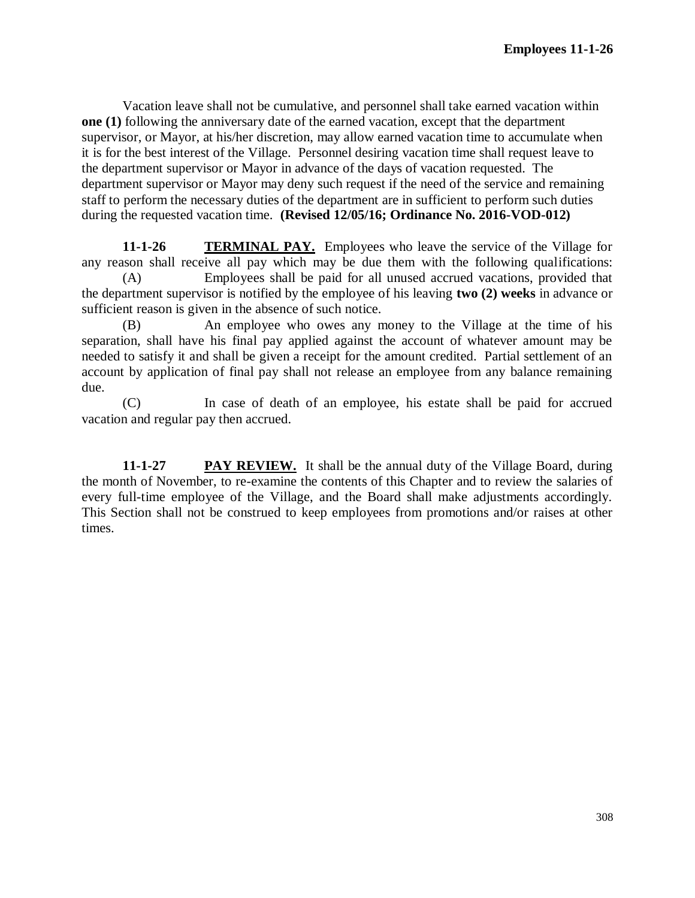Vacation leave shall not be cumulative, and personnel shall take earned vacation within **one (1)** following the anniversary date of the earned vacation, except that the department supervisor, or Mayor, at his/her discretion, may allow earned vacation time to accumulate when it is for the best interest of the Village. Personnel desiring vacation time shall request leave to the department supervisor or Mayor in advance of the days of vacation requested. The department supervisor or Mayor may deny such request if the need of the service and remaining staff to perform the necessary duties of the department are in sufficient to perform such duties during the requested vacation time. **(Revised 12/05/16; Ordinance No. 2016-VOD-012)**

**11-1-26 TERMINAL PAY.** Employees who leave the service of the Village for any reason shall receive all pay which may be due them with the following qualifications:

(A) Employees shall be paid for all unused accrued vacations, provided that the department supervisor is notified by the employee of his leaving **two (2) weeks** in advance or sufficient reason is given in the absence of such notice.

(B) An employee who owes any money to the Village at the time of his separation, shall have his final pay applied against the account of whatever amount may be needed to satisfy it and shall be given a receipt for the amount credited. Partial settlement of an account by application of final pay shall not release an employee from any balance remaining due.

(C) In case of death of an employee, his estate shall be paid for accrued vacation and regular pay then accrued.

**11-1-27 PAY REVIEW.** It shall be the annual duty of the Village Board, during the month of November, to re-examine the contents of this Chapter and to review the salaries of every full-time employee of the Village, and the Board shall make adjustments accordingly. This Section shall not be construed to keep employees from promotions and/or raises at other times.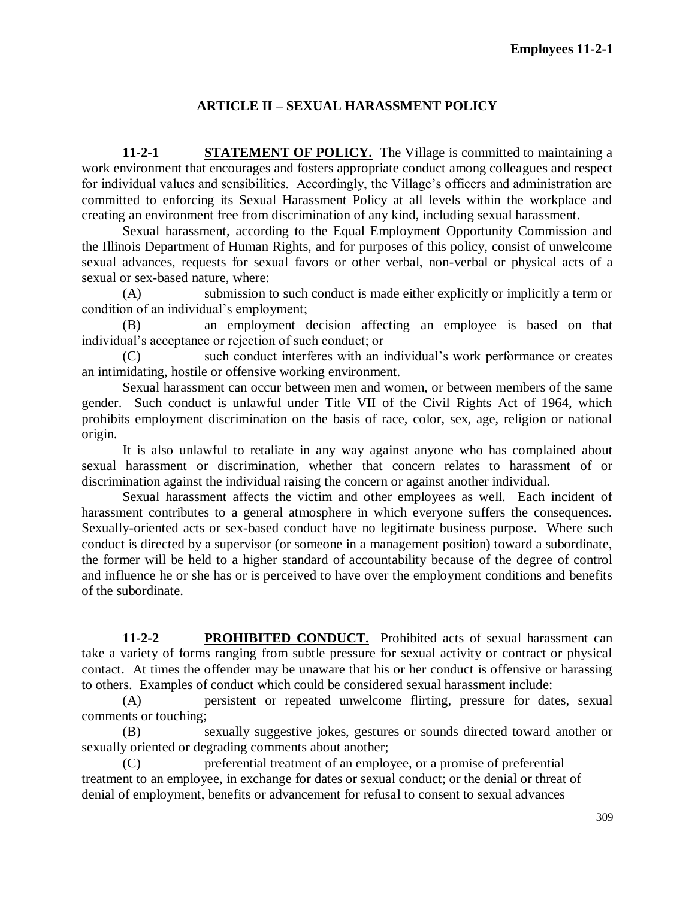# **ARTICLE II – SEXUAL HARASSMENT POLICY**

**11-2-1 STATEMENT OF POLICY.** The Village is committed to maintaining a work environment that encourages and fosters appropriate conduct among colleagues and respect for individual values and sensibilities. Accordingly, the Village's officers and administration are committed to enforcing its Sexual Harassment Policy at all levels within the workplace and creating an environment free from discrimination of any kind, including sexual harassment.

Sexual harassment, according to the Equal Employment Opportunity Commission and the Illinois Department of Human Rights, and for purposes of this policy, consist of unwelcome sexual advances, requests for sexual favors or other verbal, non-verbal or physical acts of a sexual or sex-based nature, where:

(A) submission to such conduct is made either explicitly or implicitly a term or condition of an individual's employment;

(B) an employment decision affecting an employee is based on that individual's acceptance or rejection of such conduct; or

(C) such conduct interferes with an individual's work performance or creates an intimidating, hostile or offensive working environment.

Sexual harassment can occur between men and women, or between members of the same gender. Such conduct is unlawful under Title VII of the Civil Rights Act of 1964, which prohibits employment discrimination on the basis of race, color, sex, age, religion or national origin.

It is also unlawful to retaliate in any way against anyone who has complained about sexual harassment or discrimination, whether that concern relates to harassment of or discrimination against the individual raising the concern or against another individual.

Sexual harassment affects the victim and other employees as well. Each incident of harassment contributes to a general atmosphere in which everyone suffers the consequences. Sexually-oriented acts or sex-based conduct have no legitimate business purpose. Where such conduct is directed by a supervisor (or someone in a management position) toward a subordinate, the former will be held to a higher standard of accountability because of the degree of control and influence he or she has or is perceived to have over the employment conditions and benefits of the subordinate.

**11-2-2 PROHIBITED CONDUCT.** Prohibited acts of sexual harassment can take a variety of forms ranging from subtle pressure for sexual activity or contract or physical contact. At times the offender may be unaware that his or her conduct is offensive or harassing to others. Examples of conduct which could be considered sexual harassment include:

(A) persistent or repeated unwelcome flirting, pressure for dates, sexual comments or touching;

(B) sexually suggestive jokes, gestures or sounds directed toward another or sexually oriented or degrading comments about another;

(C) preferential treatment of an employee, or a promise of preferential treatment to an employee, in exchange for dates or sexual conduct; or the denial or threat of denial of employment, benefits or advancement for refusal to consent to sexual advances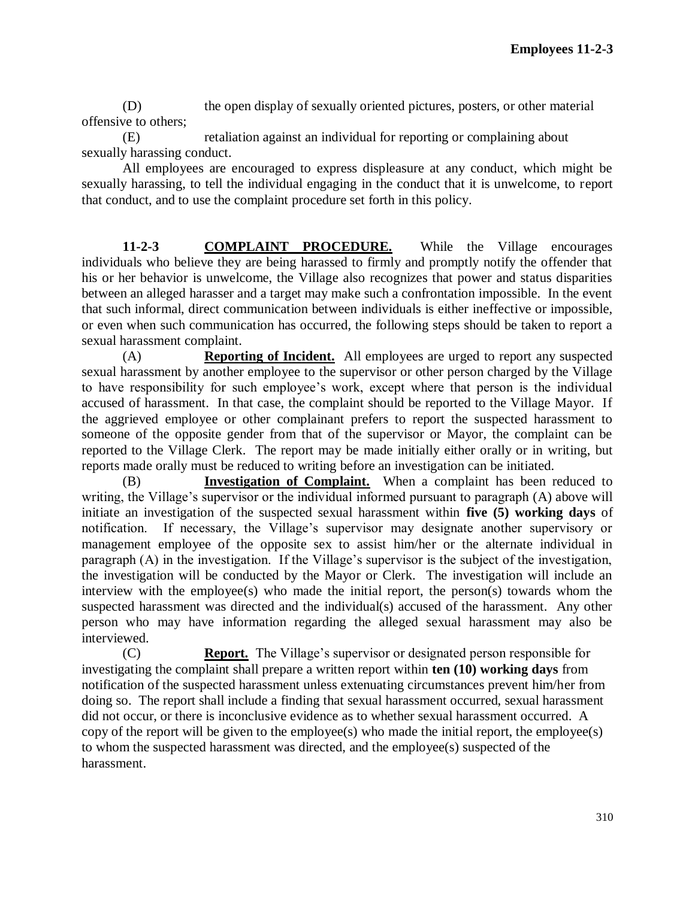(D) the open display of sexually oriented pictures, posters, or other material offensive to others;

(E) retaliation against an individual for reporting or complaining about sexually harassing conduct.

All employees are encouraged to express displeasure at any conduct, which might be sexually harassing, to tell the individual engaging in the conduct that it is unwelcome, to report that conduct, and to use the complaint procedure set forth in this policy.

**11-2-3 COMPLAINT PROCEDURE.** While the Village encourages individuals who believe they are being harassed to firmly and promptly notify the offender that his or her behavior is unwelcome, the Village also recognizes that power and status disparities between an alleged harasser and a target may make such a confrontation impossible. In the event that such informal, direct communication between individuals is either ineffective or impossible, or even when such communication has occurred, the following steps should be taken to report a sexual harassment complaint.

(A) **Reporting of Incident.** All employees are urged to report any suspected sexual harassment by another employee to the supervisor or other person charged by the Village to have responsibility for such employee's work, except where that person is the individual accused of harassment. In that case, the complaint should be reported to the Village Mayor. If the aggrieved employee or other complainant prefers to report the suspected harassment to someone of the opposite gender from that of the supervisor or Mayor, the complaint can be reported to the Village Clerk. The report may be made initially either orally or in writing, but reports made orally must be reduced to writing before an investigation can be initiated.

(B) **Investigation of Complaint.** When a complaint has been reduced to writing, the Village's supervisor or the individual informed pursuant to paragraph (A) above will initiate an investigation of the suspected sexual harassment within **five (5) working days** of notification. If necessary, the Village's supervisor may designate another supervisory or management employee of the opposite sex to assist him/her or the alternate individual in paragraph (A) in the investigation. If the Village's supervisor is the subject of the investigation, the investigation will be conducted by the Mayor or Clerk. The investigation will include an interview with the employee(s) who made the initial report, the person(s) towards whom the suspected harassment was directed and the individual(s) accused of the harassment. Any other person who may have information regarding the alleged sexual harassment may also be interviewed.

(C) **Report.** The Village's supervisor or designated person responsible for investigating the complaint shall prepare a written report within **ten (10) working days** from notification of the suspected harassment unless extenuating circumstances prevent him/her from doing so. The report shall include a finding that sexual harassment occurred, sexual harassment did not occur, or there is inconclusive evidence as to whether sexual harassment occurred. A copy of the report will be given to the employee(s) who made the initial report, the employee(s) to whom the suspected harassment was directed, and the employee(s) suspected of the harassment.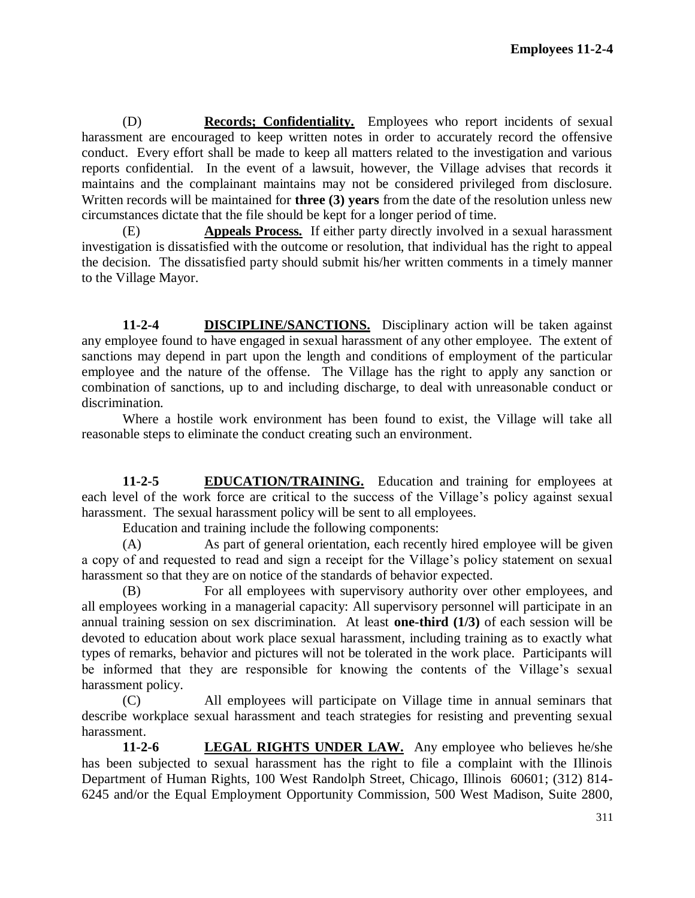(D) **Records; Confidentiality.** Employees who report incidents of sexual harassment are encouraged to keep written notes in order to accurately record the offensive conduct. Every effort shall be made to keep all matters related to the investigation and various reports confidential. In the event of a lawsuit, however, the Village advises that records it maintains and the complainant maintains may not be considered privileged from disclosure. Written records will be maintained for **three (3) years** from the date of the resolution unless new circumstances dictate that the file should be kept for a longer period of time.

(E) **Appeals Process.** If either party directly involved in a sexual harassment investigation is dissatisfied with the outcome or resolution, that individual has the right to appeal the decision. The dissatisfied party should submit his/her written comments in a timely manner to the Village Mayor.

**11-2-4 DISCIPLINE/SANCTIONS.** Disciplinary action will be taken against any employee found to have engaged in sexual harassment of any other employee. The extent of sanctions may depend in part upon the length and conditions of employment of the particular employee and the nature of the offense. The Village has the right to apply any sanction or combination of sanctions, up to and including discharge, to deal with unreasonable conduct or discrimination.

Where a hostile work environment has been found to exist, the Village will take all reasonable steps to eliminate the conduct creating such an environment.

**11-2-5 EDUCATION/TRAINING.** Education and training for employees at each level of the work force are critical to the success of the Village's policy against sexual harassment. The sexual harassment policy will be sent to all employees.

Education and training include the following components:

(A) As part of general orientation, each recently hired employee will be given a copy of and requested to read and sign a receipt for the Village's policy statement on sexual harassment so that they are on notice of the standards of behavior expected.

(B) For all employees with supervisory authority over other employees, and all employees working in a managerial capacity: All supervisory personnel will participate in an annual training session on sex discrimination. At least **one-third (1/3)** of each session will be devoted to education about work place sexual harassment, including training as to exactly what types of remarks, behavior and pictures will not be tolerated in the work place. Participants will be informed that they are responsible for knowing the contents of the Village's sexual harassment policy.

(C) All employees will participate on Village time in annual seminars that describe workplace sexual harassment and teach strategies for resisting and preventing sexual harassment.

**11-2-6 LEGAL RIGHTS UNDER LAW.** Any employee who believes he/she has been subjected to sexual harassment has the right to file a complaint with the Illinois Department of Human Rights, 100 West Randolph Street, Chicago, Illinois 60601; (312) 814- 6245 and/or the Equal Employment Opportunity Commission, 500 West Madison, Suite 2800,